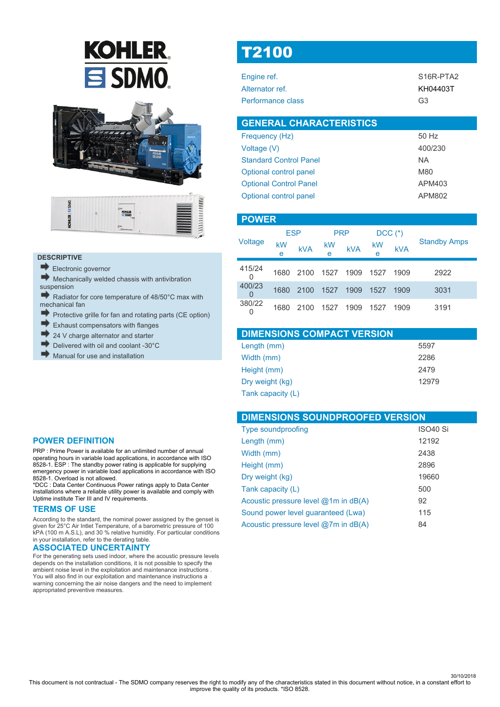# **KOHLER.**  $\equiv$  SDMO





### **DESCRIPTIVE**

Electronic governor

Mechanically welded chassis with antivibration suspension

Radiator for core temperature of 48/50°C max with mechanical fan

- mb. Protective grille for fan and rotating parts (CE option)
- Exhaust compensators with flanges
- 24 V charge alternator and starter
- Delivered with oil and coolant -30°C
- Manual for use and installation

# T2100

| Engine ref.       | S <sub>16R-PTA2</sub> |
|-------------------|-----------------------|
| Alternator ref.   | KH04403T              |
| Performance class | G <sub>3</sub>        |

| <b>GENERAL CHARACTERISTICS</b> |               |
|--------------------------------|---------------|
| Frequency (Hz)                 | 50 Hz         |
| Voltage (V)                    | 400/230       |
| <b>Standard Control Panel</b>  | NA.           |
| Optional control panel         | M80           |
| <b>Optional Control Panel</b>  | APM403        |
| Optional control panel         | <b>APM802</b> |

| <b>POWER</b> |         |            |            |            |         |             |                     |
|--------------|---------|------------|------------|------------|---------|-------------|---------------------|
|              |         | <b>ESP</b> | <b>PRP</b> |            |         | $DCC$ $(*)$ |                     |
| Voltage      | kW<br>е | <b>kVA</b> | kW<br>e    | <b>kVA</b> | kW<br>e | <b>kVA</b>  | <b>Standby Amps</b> |
| 415/24<br>0  | 1680    | 2100       | 1527       | 1909       | 1527    | 1909        | 2922                |
| 400/23<br>O  | 1680    | 2100       | 1527       | 1909       | 1527    | 1909        | 3031                |
| 380/22<br>0  | 1680    | 2100       | 1527       | 1909       | 1527    | 1909        | 3191                |

| <b>DIMENSIONS COMPACT VERSION</b> |       |
|-----------------------------------|-------|
| Length (mm)                       | 5597  |
| Width (mm)                        | 2286  |
| Height (mm)                       | 2479  |
| Dry weight (kg)                   | 12979 |
| Tank capacity (L)                 |       |

| <b>DIMENSIONS SOUNDPROOFED VERSION</b> |                      |  |
|----------------------------------------|----------------------|--|
| <b>Type soundproofing</b>              | ISO <sub>40</sub> Si |  |
| Length (mm)                            | 12192                |  |
| Width (mm)                             | 2438                 |  |
| Height (mm)                            | 2896                 |  |
| Dry weight (kg)                        | 19660                |  |
| Tank capacity (L)                      | 500                  |  |
| Acoustic pressure level @1m in dB(A)   | 92                   |  |
| Sound power level guaranteed (Lwa)     | 115                  |  |
| Acoustic pressure level @7m in dB(A)   | 84                   |  |

### **POWER DEFINITION**

PRP : Prime Power is available for an unlimited number of annual operating hours in variable load applications, in accordance with ISO 8528-1. ESP : The standby power rating is applicable for supplying emergency power in variable load applications in accordance with ISO 8528-1. Overload is not allowed.

\*DCC : Data Center Continuous Power ratings apply to Data Center installations where a reliable utility power is available and comply with Uptime institute Tier III and IV requirements.

### **TERMS OF USE**

According to the standard, the nominal power assigned by the genset is given for 25°C Air Intlet Temperature, of a barometric pressure of 100 kPA (100 m A.S.L), and 30 % relative humidity. For particular conditions in your installation, refer to the derating table.

### **ASSOCIATED UNCERTAINTY**

For the generating sets used indoor, where the acoustic pressure levels depends on the installation conditions, it is not possible to specify the ambient noise level in the exploitation and maintenance instructions . You will also find in our exploitation and maintenance instructions a warning concerning the air noise dangers and the need to implement appropriated preventive measures.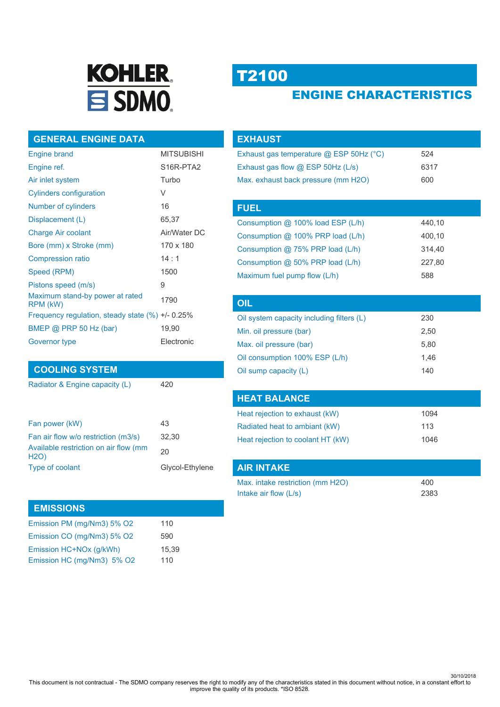

# T2100

**OIL** 

## ENGINE CHARACTERISTICS

### **GENERAL ENGINE DATA**

| <b>Engine brand</b>                                  | <b>MITSUBISHI</b>                  |
|------------------------------------------------------|------------------------------------|
| Engine ref.                                          | S <sub>16</sub> R-PTA <sub>2</sub> |
| Air inlet system                                     | Turbo                              |
| <b>Cylinders configuration</b>                       | V                                  |
| Number of cylinders                                  | 16                                 |
| Displacement (L)                                     | 65,37                              |
| <b>Charge Air coolant</b>                            | Air/Water DC                       |
| Bore (mm) x Stroke (mm)                              | 170 x 180                          |
| <b>Compression ratio</b>                             | 14:1                               |
| Speed (RPM)                                          | 1500                               |
| Pistons speed (m/s)                                  | 9                                  |
| Maximum stand-by power at rated<br>RPM (kW)          | 1790                               |
| Frequency regulation, steady state $(\%) +1$ - 0.25% |                                    |
| BMEP @ PRP 50 Hz (bar)                               | 19,90                              |
| Governor type                                        | Electronic                         |

### **COOLING SYSTEM**

Radiator & Engine capacity (L)

| Fan power (kW)                                       | 43              |
|------------------------------------------------------|-----------------|
| Fan air flow w/o restriction (m3/s)                  | 32.30           |
| Available restriction on air flow (mm<br><b>H2O)</b> | 20              |
| Type of coolant                                      | Glycol-Ethylene |
|                                                      |                 |

### **EMISSIONS**

| Emission PM (mg/Nm3) 5% O2 | 110   |
|----------------------------|-------|
| Emission CO (mg/Nm3) 5% O2 | 590   |
| Emission HC+NOx (g/kWh)    | 15.39 |
| Emission HC (mg/Nm3) 5% O2 | 110   |

| <u>EXHAUST</u>                          |        |
|-----------------------------------------|--------|
| Exhaust gas temperature @ ESP 50Hz (°C) | 524    |
| Exhaust gas flow @ ESP 50Hz (L/s)       | 6317   |
| Max. exhaust back pressure (mm H2O)     | 600    |
|                                         |        |
| <b>FUEL</b>                             |        |
| Consumption @ 100% load ESP (L/h)       | 440,10 |
| Consumption @ 100% PRP load (L/h)       | 400,10 |
| Consumption $@$ 75% PRP load (L/h)      | 314.40 |
| Consumption @ 50% PRP load (L/h)        | 227,80 |
| Maximum fuel pump flow (L/h)            | 588    |
|                                         |        |

| UIL                                       |      |  |
|-------------------------------------------|------|--|
| Oil system capacity including filters (L) | 230  |  |
| Min. oil pressure (bar)                   | 2,50 |  |
| Max. oil pressure (bar)                   | 5,80 |  |
| Oil consumption 100% ESP (L/h)            | 1.46 |  |
| Oil sump capacity (L)                     | 140  |  |

| <b>HEAT BALANCE</b>               |      |
|-----------------------------------|------|
| Heat rejection to exhaust (kW)    | 1094 |
| Radiated heat to ambiant (kW)     | 113  |
| Heat rejection to coolant HT (kW) | 1046 |

| AIR INTAKE                       |      |
|----------------------------------|------|
| Max. intake restriction (mm H2O) | 400  |
| Intake air flow $(L/s)$          | 2383 |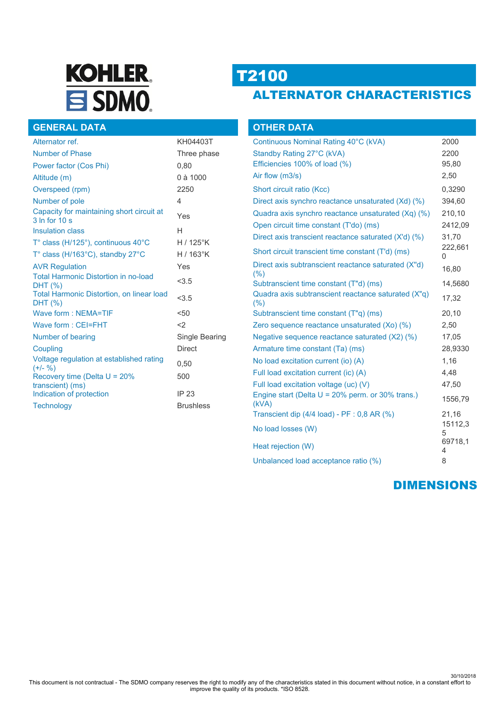# **KOHLER.** SDMO.

# T2100

# ALTERNATOR CHARACTERISTICS

### **GENERAL DATA**

| Alternator ref.                                               | KH04403T         |
|---------------------------------------------------------------|------------------|
| <b>Number of Phase</b>                                        | Three phase      |
| Power factor (Cos Phi)                                        | 0,80             |
| Altitude (m)                                                  | 0 à 1000         |
| Overspeed (rpm)                                               | 2250             |
| Number of pole                                                | 4                |
| Capacity for maintaining short circuit at<br>$3 \ln$ for 10 s | Yes              |
| <b>Insulation class</b>                                       | Н                |
| T° class (H/125°), continuous 40°C                            | $H/125$ °K       |
| T° class (H/163°C), standby 27°C                              | $H/163$ °K       |
| <b>AVR Regulation</b>                                         | Yes              |
| <b>Total Harmonic Distortion in no-load</b><br>DHT (%)        | < 3.5            |
| <b>Total Harmonic Distortion, on linear load</b><br>DHT (%)   | < 3.5            |
| Wave form: NEMA=TIF                                           | < 50             |
| Wave form: CEI=FHT                                            | $<$ 2            |
| Number of bearing                                             | Single Bearing   |
| Coupling                                                      | <b>Direct</b>    |
| Voltage regulation at established rating<br>$(+/- 96)$        | 0,50             |
| Recovery time (Delta $U = 20\%$<br>transcient) (ms)           | 500              |
| Indication of protection                                      | IP 23            |
| <b>Technology</b>                                             | <b>Brushless</b> |

| <b>OTHER DATA</b>                                            |              |
|--------------------------------------------------------------|--------------|
| Continuous Nominal Rating 40°C (kVA)                         | 2000         |
| Standby Rating 27°C (kVA)                                    | 2200         |
| Efficiencies 100% of load (%)                                | 95,80        |
| Air flow (m3/s)                                              | 2,50         |
| Short circuit ratio (Kcc)                                    | 0,3290       |
| Direct axis synchro reactance unsaturated (Xd) (%)           | 394,60       |
| Quadra axis synchro reactance unsaturated (Xq) (%)           | 210,10       |
| Open circuit time constant (T'do) (ms)                       | 2412,09      |
| Direct axis transcient reactance saturated (X'd) (%)         | 31,70        |
| Short circuit transcient time constant (T'd) (ms)            | 222,661<br>0 |
| Direct axis subtranscient reactance saturated (X"d)<br>(% )  | 16,80        |
| Subtranscient time constant (T"d) (ms)                       | 14,5680      |
| Quadra axis subtranscient reactance saturated (X"q)<br>(%)   | 17,32        |
| Subtranscient time constant (T"q) (ms)                       | 20,10        |
| Zero sequence reactance unsaturated (Xo) (%)                 | 2,50         |
| Negative sequence reactance saturated (X2) (%)               | 17,05        |
| Armature time constant (Ta) (ms)                             | 28,9330      |
| No load excitation current (io) (A)                          | 1,16         |
| Full load excitation current (ic) (A)                        | 4,48         |
| Full load excitation voltage (uc) (V)                        | 47,50        |
| Engine start (Delta $U = 20\%$ perm. or 30% trans.)<br>(kVA) | 1556,79      |
| Transcient dip (4/4 load) - PF : 0,8 AR (%)                  | 21,16        |
| No load losses (W)                                           | 15112,3<br>5 |
| Heat rejection (W)                                           | 69718.1<br>4 |
| Unbalanced load acceptance ratio (%)                         | 8            |

### DIMENSIONS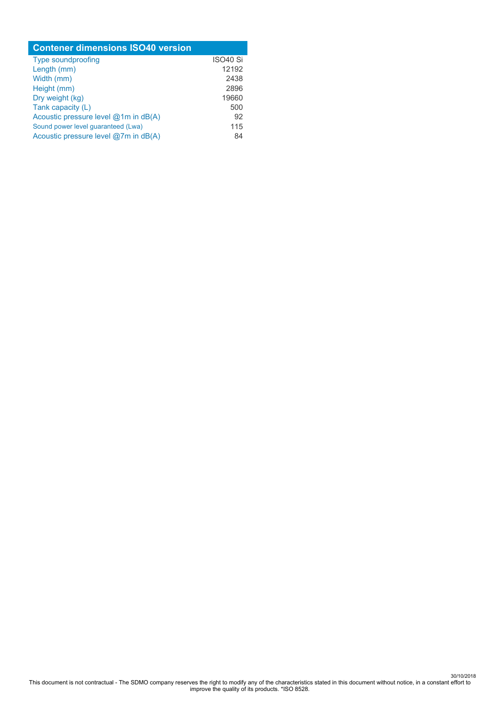| <b>Contener dimensions ISO40 version</b> |                      |  |
|------------------------------------------|----------------------|--|
| <b>Type soundproofing</b>                | ISO <sub>40</sub> Si |  |
| Length (mm)                              | 12192                |  |
| Width (mm)                               | 2438                 |  |
| Height (mm)                              | 2896                 |  |
| Dry weight (kg)                          | 19660                |  |
| Tank capacity (L)                        | 500                  |  |
| Acoustic pressure level @1m in dB(A)     | 92                   |  |
| Sound power level guaranteed (Lwa)       | 115                  |  |
| Acoustic pressure level @7m in dB(A)     | 84                   |  |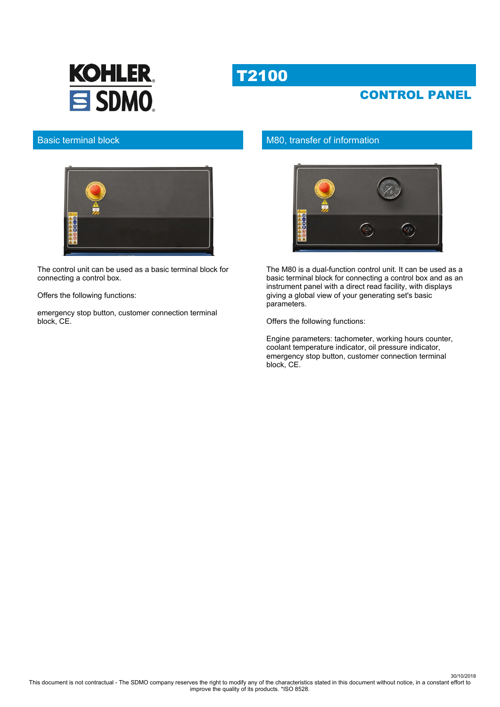

## CONTROL PANEL



### Basic terminal block



The control unit can be used as a basic terminal block for connecting a control box.

Offers the following functions:

emergency stop button, customer connection terminal block, CE.

### M80, transfer of information



The M80 is a dual-function control unit. It can be used as a basic terminal block for connecting a control box and as an instrument panel with a direct read facility, with displays giving a global view of your generating set's basic parameters.

Offers the following functions:

Engine parameters: tachometer, working hours counter, coolant temperature indicator, oil pressure indicator, emergency stop button, customer connection terminal block, CE.